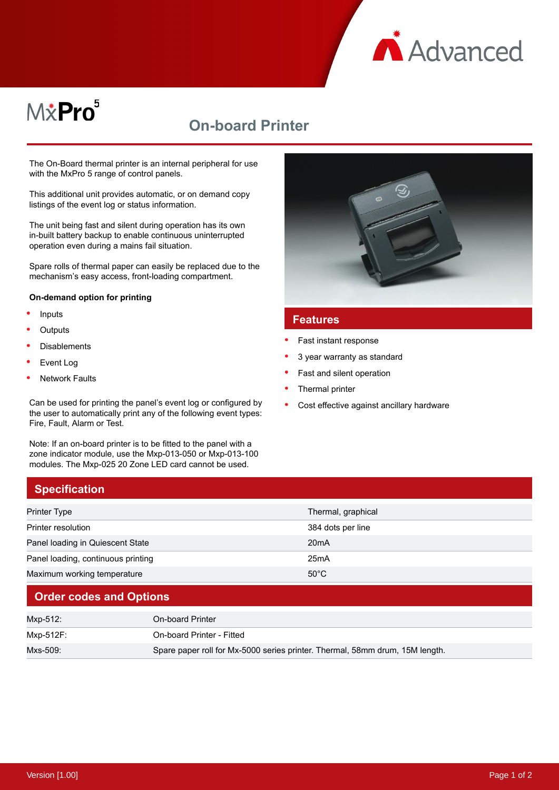

# M&Pro<sup>5</sup>

## **On-board Printer**

The On-Board thermal printer is an internal peripheral for use with the MxPro 5 range of control panels.

This additional unit provides automatic, or on demand copy listings of the event log or status information.

The unit being fast and silent during operation has its own in-built battery backup to enable continuous uninterrupted operation even during a mains fail situation.

Spare rolls of thermal paper can easily be replaced due to the mechanism's easy access, front-loading compartment.

#### **On-demand option for printing**

- Inputs
- **Outputs**
- Disablements
- Event Log
- Network Faults

**Specification**

Can be used for printing the panel's event log or configured by the user to automatically print any of the following event types: Fire, Fault, Alarm or Test.

Note: If an on-board printer is to be fitted to the panel with a zone indicator module, use the Mxp-013-050 or Mxp-013-100 modules. The Mxp-025 20 Zone LED card cannot be used.



#### **Features**

- Fast instant response
- 3 year warranty as standard
- Fast and silent operation
- Thermal printer
- Cost effective against ancillary hardware

| Printer Type                       | Thermal, graphical |  |
|------------------------------------|--------------------|--|
| Printer resolution                 | 384 dots per line  |  |
| Panel loading in Quiescent State   | 20 <sub>m</sub> A  |  |
| Panel loading, continuous printing | 25mA               |  |
| Maximum working temperature        | $50^{\circ}$ C     |  |
|                                    |                    |  |

#### **Order codes and Options**

| Mxp-512:  | On-board Printer                                                             |
|-----------|------------------------------------------------------------------------------|
| Mxp-512F: | On-board Printer - Fitted                                                    |
| Mxs-509:  | Spare paper roll for Mx-5000 series printer. Thermal, 58mm drum, 15M length. |